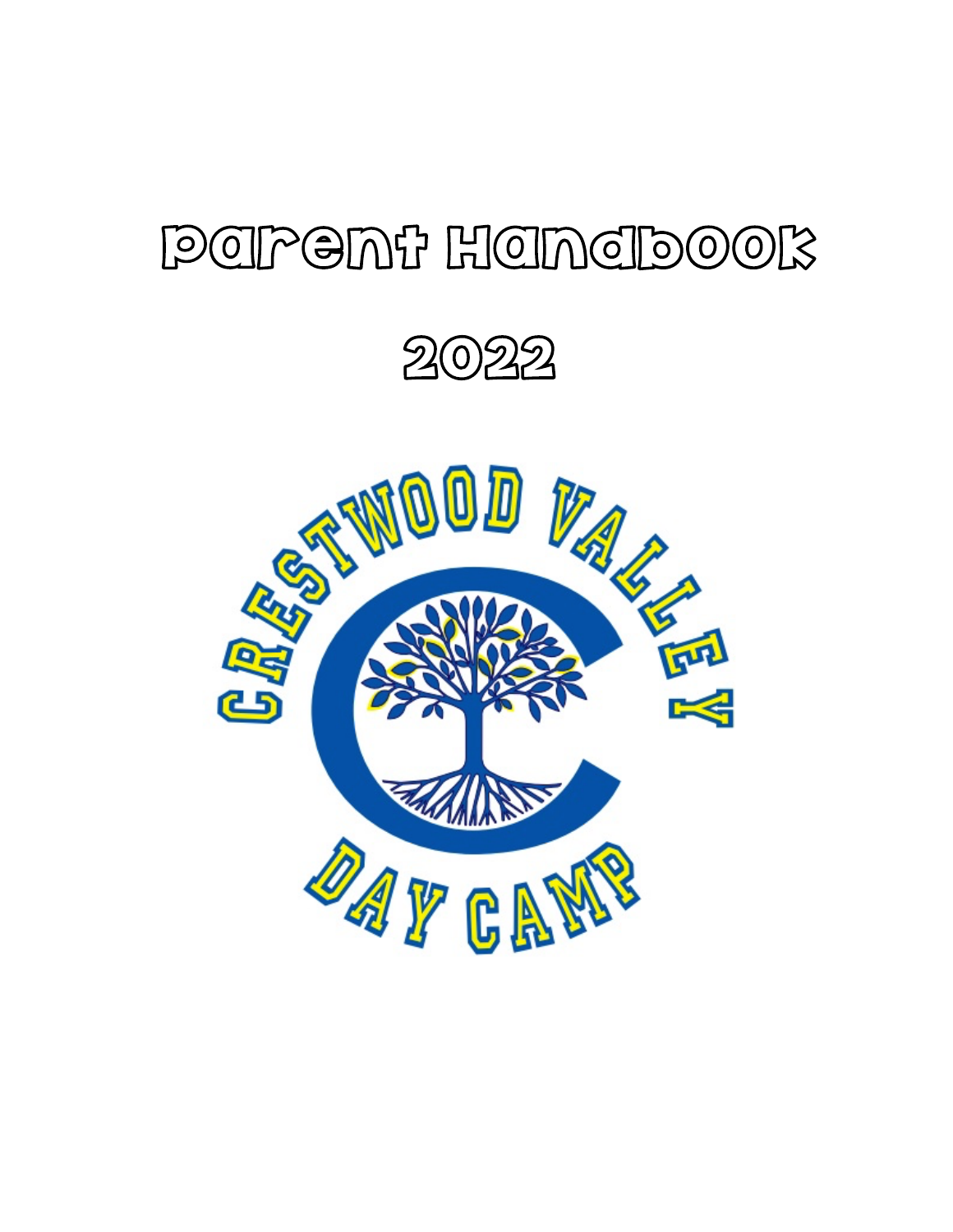# Parent Handbook

2022

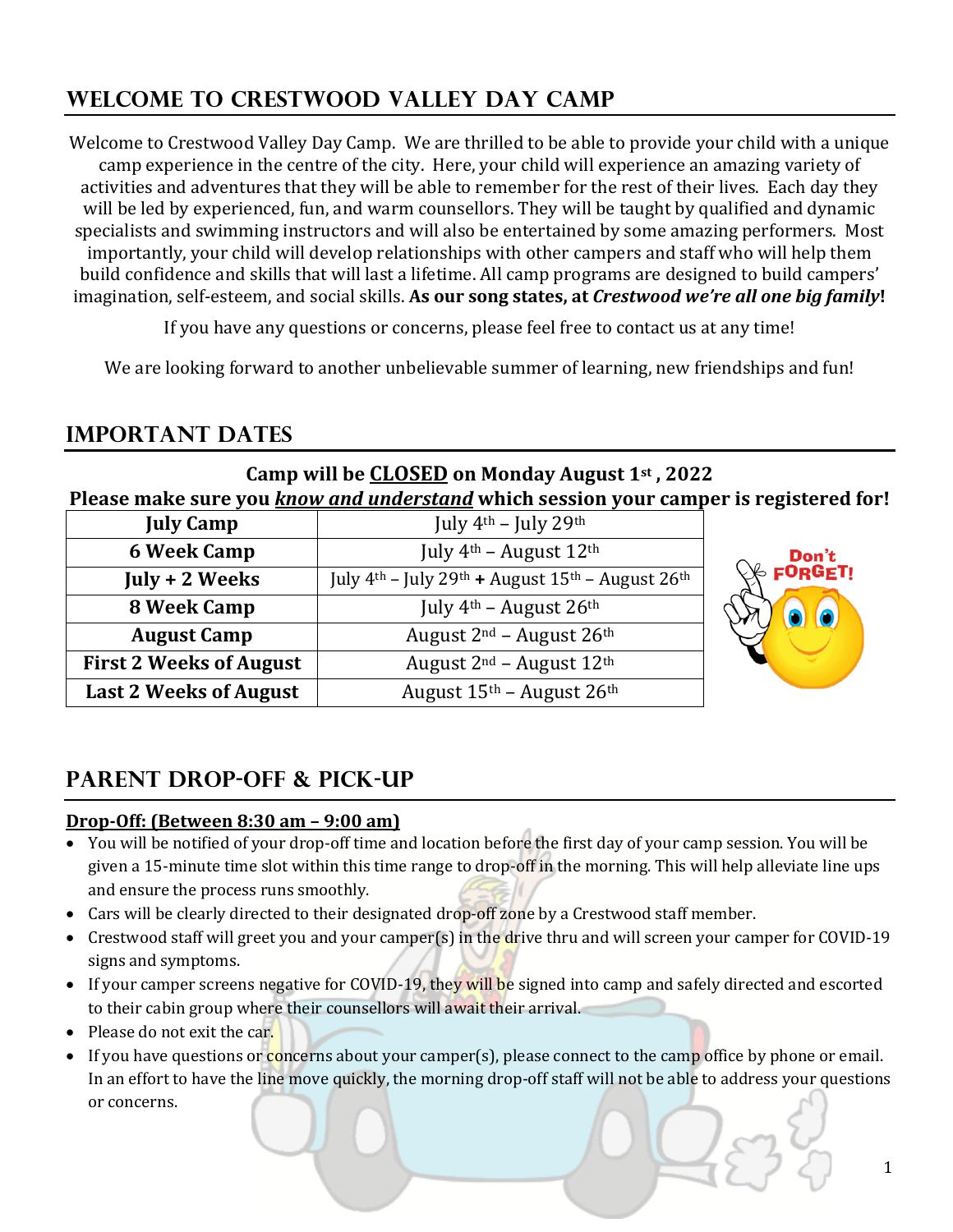# **WELCOME TO CRESTWOOD VALLEY DAY CAMP**

Welcome to Crestwood Valley Day Camp. We are thrilled to be able to provide your child with a unique camp experience in the centre of the city. Here, your child will experience an amazing variety of activities and adventures that they will be able to remember for the rest of their lives. Each day they will be led by experienced, fun, and warm counsellors. They will be taught by qualified and dynamic specialists and swimming instructors and will also be entertained by some amazing performers. Most importantly, your child will develop relationships with other campers and staff who will help them build confidence and skills that will last a lifetime. All camp programs are designed to build campers' imagination, self-esteem, and social skills. As our song states, at *Crestwood we're all one big family*!

If you have any questions or concerns, please feel free to contact us at any time!

We are looking forward to another unbelievable summer of learning, new friendships and fun!

# **Important Dates**

### **Camp will be CLOSED on Monday August 1st, 2022** Please make sure you *know and understand* which session your camper is registered for!

| <b>July Camp</b>               | July $4th$ – July 29 <sup>th</sup>                                                     |  |
|--------------------------------|----------------------------------------------------------------------------------------|--|
| <b>6 Week Camp</b>             | July $4th$ – August $12th$                                                             |  |
| July + 2 Weeks                 | July $4th$ – July 29 <sup>th</sup> + August 15 <sup>th</sup> – August 26 <sup>th</sup> |  |
| 8 Week Camp                    | July $4th$ – August 26 <sup>th</sup>                                                   |  |
| <b>August Camp</b>             | August $2^{nd}$ – August $26^{th}$                                                     |  |
| <b>First 2 Weeks of August</b> | August $2^{nd}$ – August $12^{th}$                                                     |  |
| <b>Last 2 Weeks of August</b>  | August 15th - August 26th                                                              |  |



# **Parent Drop-off & Pick-up**

### **Drop-Off:** (Between 8:30 am – 9:00 am)

- You will be notified of your drop-off time and location before the first day of your camp session. You will be given a 15-minute time slot within this time range to drop-off in the morning. This will help alleviate line ups and ensure the process runs smoothly.
- Cars will be clearly directed to their designated drop-off zone by a Crestwood staff member.
- Crestwood staff will greet you and your camper(s) in the drive thru and will screen your camper for COVID-19 signs and symptoms.
- If your camper screens negative for COVID-19, they will be signed into camp and safely directed and escorted to their cabin group where their counsellors will await their arrival.
- Please do not exit the car.
- If you have questions or concerns about your camper(s), please connect to the camp office by phone or email. In an effort to have the line move quickly, the morning drop-off staff will not be able to address your questions or concerns.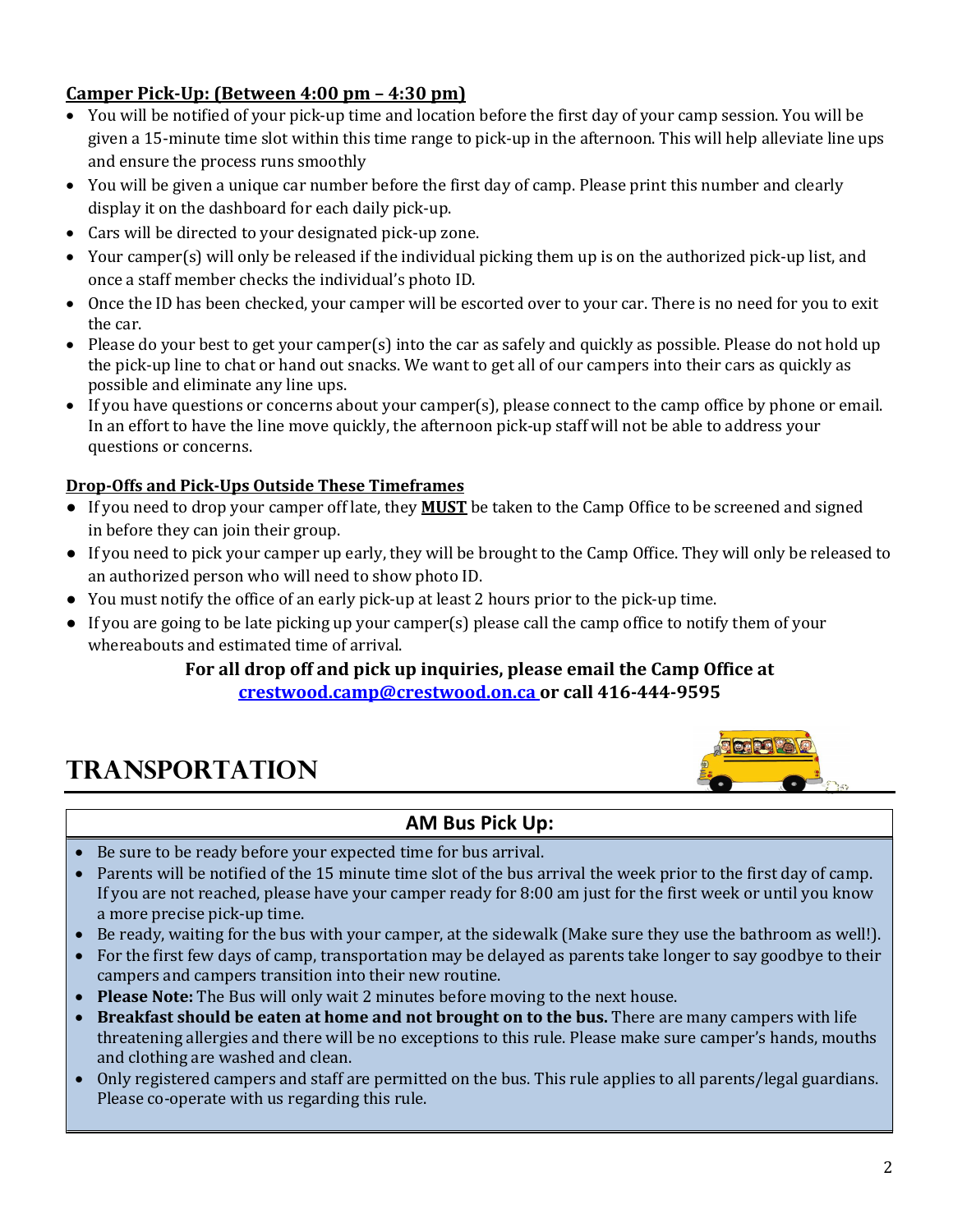### **Camper Pick-Up: (Between 4:00 pm – 4:30 pm)**

- You will be notified of your pick-up time and location before the first day of your camp session. You will be given a 15-minute time slot within this time range to pick-up in the afternoon. This will help alleviate line ups and ensure the process runs smoothly
- You will be given a unique car number before the first day of camp. Please print this number and clearly display it on the dashboard for each daily pick-up.
- Cars will be directed to your designated pick-up zone.
- Your camper(s) will only be released if the individual picking them up is on the authorized pick-up list, and once a staff member checks the individual's photo ID.
- Once the ID has been checked, your camper will be escorted over to your car. There is no need for you to exit the car.
- Please do your best to get your camper(s) into the car as safely and quickly as possible. Please do not hold up the pick-up line to chat or hand out snacks. We want to get all of our campers into their cars as quickly as possible and eliminate any line ups.
- If you have questions or concerns about your camper(s), please connect to the camp office by phone or email. In an effort to have the line move quickly, the afternoon pick-up staff will not be able to address your questions or concerns.

### **Drop-Offs and Pick-Ups Outside These Timeframes**

- If you need to drop your camper off late, they **MUST** be taken to the Camp Office to be screened and signed in before they can join their group.
- If you need to pick your camper up early, they will be brought to the Camp Office. They will only be released to an authorized person who will need to show photo ID.
- You must notify the office of an early pick-up at least 2 hours prior to the pick-up time.
- If you are going to be late picking up your camper(s) please call the camp office to notify them of your whereabouts and estimated time of arrival.

### For all drop off and pick up inquiries, please email the Camp Office at crestwood.camp@crestwood.on.ca or call 416-444-9595

# **Transportation**



### **AM Bus Pick Up:**

- Be sure to be ready before your expected time for bus arrival.
- Parents will be notified of the 15 minute time slot of the bus arrival the week prior to the first day of camp. If you are not reached, please have your camper ready for  $8:00$  am just for the first week or until you know a more precise pick-up time.
- Be ready, waiting for the bus with your camper, at the sidewalk (Make sure they use the bathroom as well!).
- For the first few days of camp, transportation may be delayed as parents take longer to say goodbye to their campers and campers transition into their new routine.
- **Please Note:** The Bus will only wait 2 minutes before moving to the next house.
- Breakfast should be eaten at home and not brought on to the bus. There are many campers with life threatening allergies and there will be no exceptions to this rule. Please make sure camper's hands, mouths and clothing are washed and clean.
- Only registered campers and staff are permitted on the bus. This rule applies to all parents/legal guardians. Please co-operate with us regarding this rule.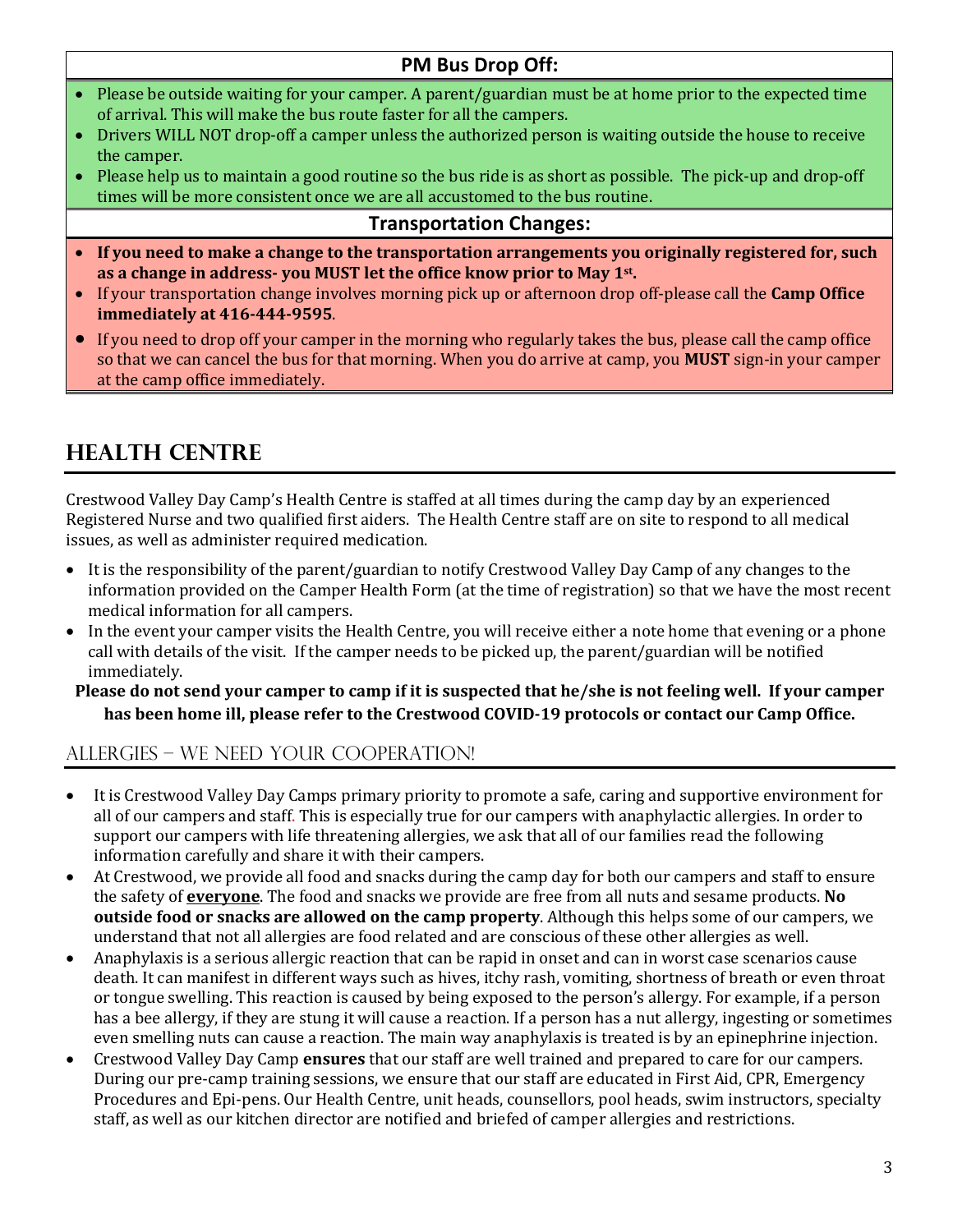### **PM Bus Drop Off:**

- Please be outside waiting for your camper. A parent/guardian must be at home prior to the expected time of arrival. This will make the bus route faster for all the campers.
- Drivers WILL NOT drop-off a camper unless the authorized person is waiting outside the house to receive the camper.
- Please help us to maintain a good routine so the bus ride is as short as possible. The pick-up and drop-off times will be more consistent once we are all accustomed to the bus routine.

### **Transportation Changes:**

- If you need to make a change to the transportation arrangements you originally registered for, such as a change in address- you MUST let the office know prior to May 1<sup>st</sup>.
- If your transportation change involves morning pick up or afternoon drop off-please call the **Camp Office immediately at 416-444-9595**.
- If you need to drop off your camper in the morning who regularly takes the bus, please call the camp office so that we can cancel the bus for that morning. When you do arrive at camp, you **MUST** sign-in your camper at the camp office immediately.

# **Health Centre**

Crestwood Valley Day Camp's Health Centre is staffed at all times during the camp day by an experienced Registered Nurse and two qualified first aiders. The Health Centre staff are on site to respond to all medical issues, as well as administer required medication.

- It is the responsibility of the parent/guardian to notify Crestwood Valley Day Camp of any changes to the information provided on the Camper Health Form (at the time of registration) so that we have the most recent medical information for all campers.
- In the event your camper visits the Health Centre, you will receive either a note home that evening or a phone call with details of the visit. If the camper needs to be picked up, the parent/guardian will be notified immediately.

#### **Please do not send your camper to camp if it is suspected that he/she is not feeling well. If your camper** has been home ill, please refer to the Crestwood COVID-19 protocols or contact our Camp Office.

### ALLERGIES – We NEED YOUR COOPERATION!

- It is Crestwood Valley Day Camps primary priority to promote a safe, caring and supportive environment for all of our campers and staff. This is especially true for our campers with anaphylactic allergies. In order to support our campers with life threatening allergies, we ask that all of our families read the following information carefully and share it with their campers.
- At Crestwood, we provide all food and snacks during the camp day for both our campers and staff to ensure the safety of **everyone**. The food and snacks we provide are free from all nuts and sesame products. No **outside food or snacks are allowed on the camp property**. Although this helps some of our campers, we understand that not all allergies are food related and are conscious of these other allergies as well.
- Anaphylaxis is a serious allergic reaction that can be rapid in onset and can in worst case scenarios cause death. It can manifest in different ways such as hives, itchy rash, vomiting, shortness of breath or even throat or tongue swelling. This reaction is caused by being exposed to the person's allergy. For example, if a person has a bee allergy, if they are stung it will cause a reaction. If a person has a nut allergy, ingesting or sometimes even smelling nuts can cause a reaction. The main way anaphylaxis is treated is by an epinephrine injection.
- Crestwood Valley Day Camp **ensures** that our staff are well trained and prepared to care for our campers. During our pre-camp training sessions, we ensure that our staff are educated in First Aid, CPR, Emergency Procedures and Epi-pens. Our Health Centre, unit heads, counsellors, pool heads, swim instructors, specialty staff, as well as our kitchen director are notified and briefed of camper allergies and restrictions.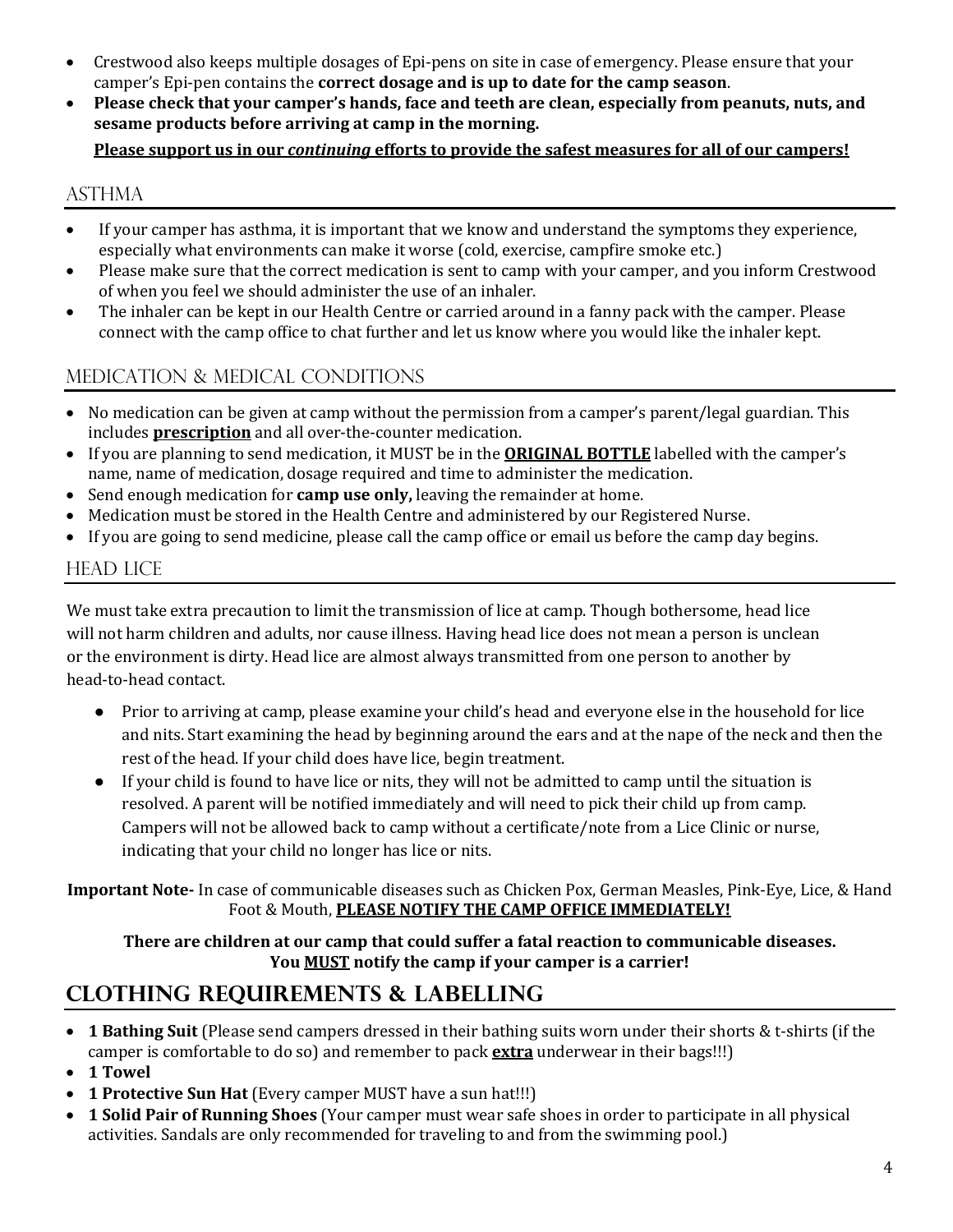- Crestwood also keeps multiple dosages of Epi-pens on site in case of emergency. Please ensure that your camper's Epi-pen contains the **correct dosage and is up to date for the camp season**.
- Please check that vour camper's hands, face and teeth are clean, especially from peanuts, nuts, and **sesame products before arriving at camp in the morning.**

### **Please support us in our** *continuing* **efforts to provide the safest measures for all of our campers!**

### **ASTHMA**

- If your camper has asthma, it is important that we know and understand the symptoms they experience, especially what environments can make it worse (cold, exercise, campfire smoke etc.)
- Please make sure that the correct medication is sent to camp with your camper, and you inform Crestwood of when you feel we should administer the use of an inhaler.
- The inhaler can be kept in our Health Centre or carried around in a fanny pack with the camper. Please connect with the camp office to chat further and let us know where you would like the inhaler kept.

# MEDICATION & MEDICAL CONDITIONS

- No medication can be given at camp without the permission from a camper's parent/legal guardian. This includes **prescription** and all over-the-counter medication.
- If you are planning to send medication, it MUST be in the **ORIGINAL BOTTLE** labelled with the camper's name, name of medication, dosage required and time to administer the medication.
- Send enough medication for **camp use only**, leaving the remainder at home.
- Medication must be stored in the Health Centre and administered by our Registered Nurse.
- If you are going to send medicine, please call the camp office or email us before the camp day begins.

### **HEAD LICE**

We must take extra precaution to limit the transmission of lice at camp. Though bothersome, head lice will not harm children and adults, nor cause illness. Having head lice does not mean a person is unclean or the environment is dirty. Head lice are almost always transmitted from one person to another by head-to-head contact.

- Prior to arriving at camp, please examine your child's head and everyone else in the household for lice and nits. Start examining the head by beginning around the ears and at the nape of the neck and then the rest of the head. If your child does have lice, begin treatment.
- If your child is found to have lice or nits, they will not be admitted to camp until the situation is resolved. A parent will be notified immediately and will need to pick their child up from camp. Campers will not be allowed back to camp without a certificate/note from a Lice Clinic or nurse, indicating that your child no longer has lice or nits.

**Important Note-** In case of communicable diseases such as Chicken Pox, German Measles, Pink-Eye, Lice, & Hand Foot & Mouth, **PLEASE NOTIFY THE CAMP OFFICE IMMEDIATELY!** 

#### There are children at our camp that could suffer a fatal reaction to communicable diseases. You **MUST** notify the camp if your camper is a carrier!

# **Clothing requirements & labelling**

- **1 Bathing Suit** (Please send campers dressed in their bathing suits worn under their shorts & t-shirts (if the camper is comfortable to do so) and remember to pack **extra** underwear in their bags!!!)
- **1 Towel**
- **1 Protective Sun Hat** (Every camper MUST have a sun hat!!!)
- **1 Solid Pair of Running Shoes** (Your camper must wear safe shoes in order to participate in all physical activities. Sandals are only recommended for traveling to and from the swimming pool.)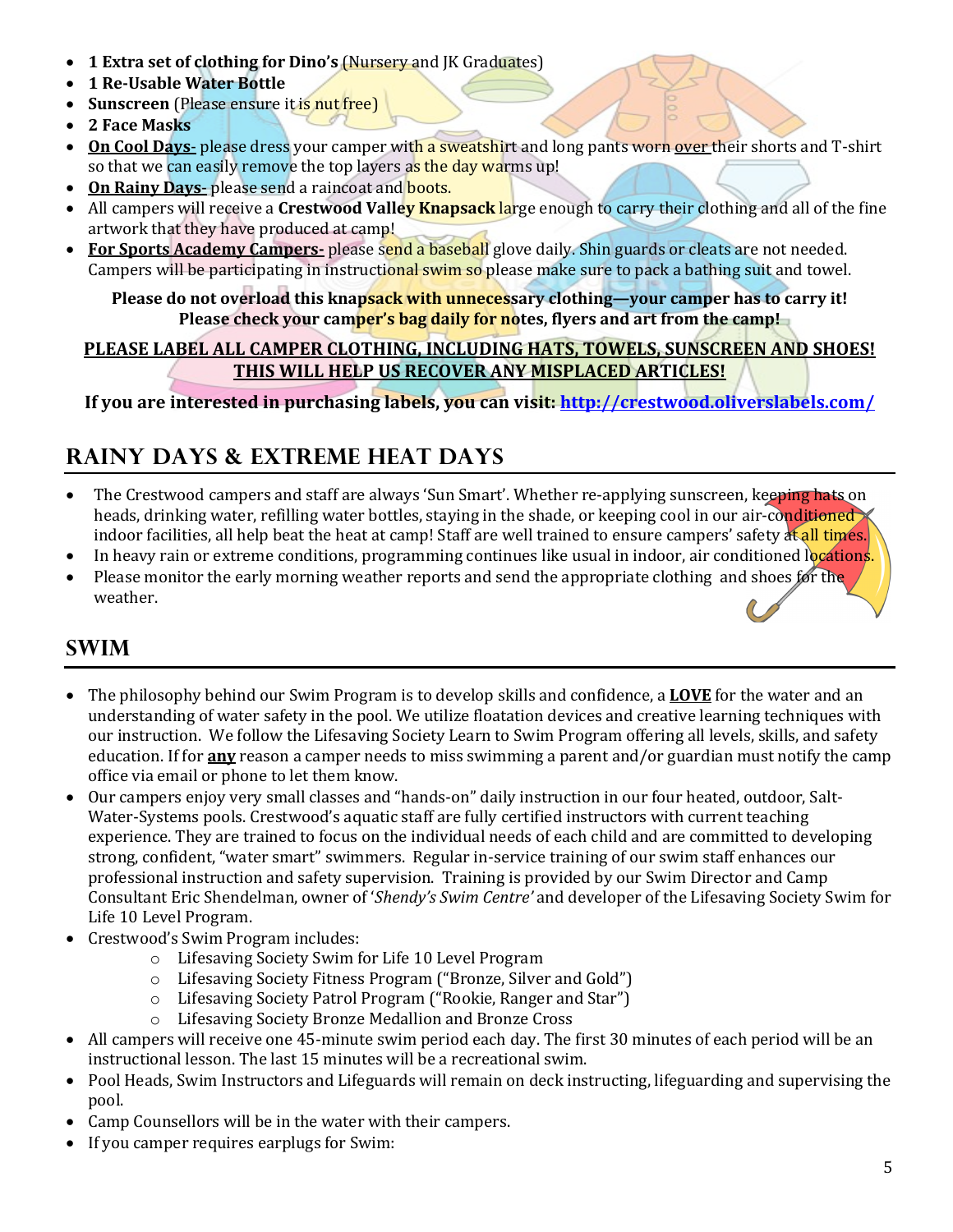- **1 Extra set of clothing for Dino's (Nursery and JK Graduates)**
- **1 Re-Usable Water Bottle**
- **Sunscreen** (Please ensure it is nut free)
- 2 Face Masks
- On Cool Days- please dress your camper with a sweatshirt and long pants worn over their shorts and T-shirt so that we can easily remove the top layers as the day warms up!
- On Rainy Days- please send a raincoat and **boots.**
- All campers will receive a **Crestwood Valle<mark>y Knapsack l</mark>arge enough to carry their clothing and all of the fine** artwork that they have produced at camp!
- For Sports Academy Campers- please send a baseball glove daily. Shin guards or cleats are not needed. Campers will be participating in instructional swim so please make sure to pack a bathing suit and towel.

Please do not overload this knapsack with unnecessary clothing—your camper has to carry it! **Please check your camper's bag daily for notes, flyers and art from the camp!** 

### PLEASE LABEL ALL CAMPER CLOTHING, INCLUDING HATS, TOWELS, SUNSCREEN AND SHOES! **THIS WILL HELP US RECOVER ANY MISPLACED ARTICLES!**

**If you are interested in purchasing labels, you can visit: http://crestwood.oliverslabels.com/** 

# **Rainy Days & Extreme heat days**

- The Crestwood campers and staff are always 'Sun Smart'. Whether re-applying sunscreen, keeping hats on heads, drinking water, refilling water bottles, staying in the shade, or keeping cool in our air-conditioned  $\times$ indoor facilities, all help beat the heat at camp! Staff are well trained to ensure campers' safety at all times.
- In heavy rain or extreme conditions, programming continues like usual in indoor, air conditioned locations.
- Please monitor the early morning weather reports and send the appropriate clothing and shoes for the weather.

# **Swim**

- The philosophy behind our Swim Program is to develop skills and confidence, a **LOVE** for the water and an understanding of water safety in the pool. We utilize floatation devices and creative learning techniques with our instruction. We follow the Lifesaving Society Learn to Swim Program offering all levels, skills, and safety education. If for **any** reason a camper needs to miss swimming a parent and/or guardian must notify the camp office via email or phone to let them know.
- Our campers enjoy very small classes and "hands-on" daily instruction in our four heated, outdoor, Salt-Water-Systems pools. Crestwood's aquatic staff are fully certified instructors with current teaching experience. They are trained to focus on the individual needs of each child and are committed to developing strong, confident, "water smart" swimmers. Regular in-service training of our swim staff enhances our professional instruction and safety supervision. Training is provided by our Swim Director and Camp Consultant Eric Shendelman, owner of '*Shendy's Swim Centre'* and developer of the Lifesaving Society Swim for Life 10 Level Program.
- Crestwood's Swim Program includes:
	- o Lifesaving Society Swim for Life 10 Level Program
	- $\circ$  Lifesaving Society Fitness Program ("Bronze, Silver and Gold")
	- o Lifesaving Society Patrol Program ("Rookie, Ranger and Star")
	- o Lifesaving Society Bronze Medallion and Bronze Cross
- All campers will receive one 45-minute swim period each day. The first 30 minutes of each period will be an instructional lesson. The last 15 minutes will be a recreational swim.
- Pool Heads, Swim Instructors and Lifeguards will remain on deck instructing, lifeguarding and supervising the pool.
- Camp Counsellors will be in the water with their campers.
- If you camper requires earplugs for Swim: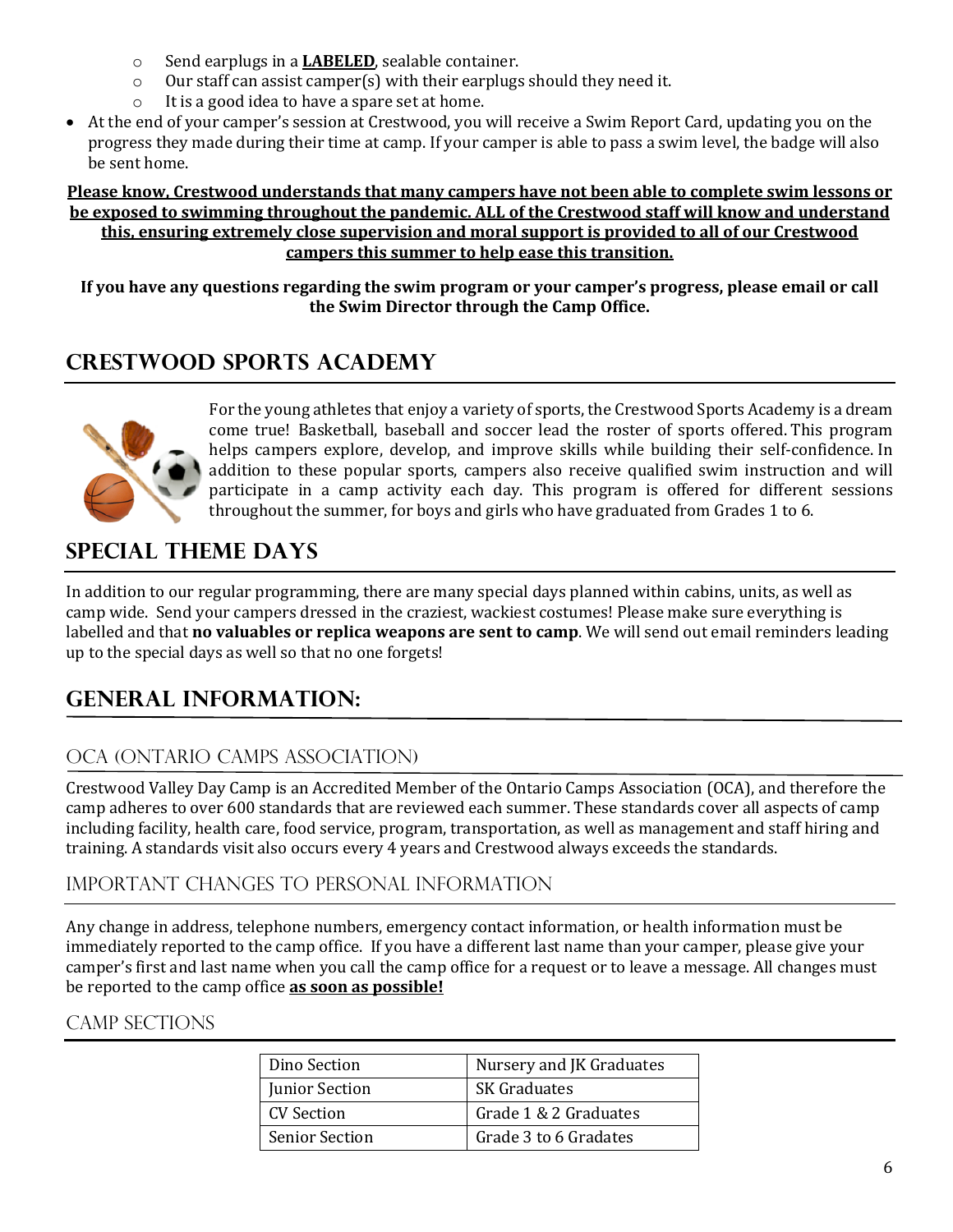- o Send earplugs in a **LABELED**, sealable container.
- $\circ$  Our staff can assist camper(s) with their earplugs should they need it.
- $\circ$  It is a good idea to have a spare set at home.
- At the end of your camper's session at Crestwood, you will receive a Swim Report Card, updating vou on the progress they made during their time at camp. If your camper is able to pass a swim level, the badge will also be sent home.

#### Please know, Crestwood understands that many campers have not been able to complete swim lessons or **be exposed to swimming throughout the pandemic. ALL of the Crestwood staff will know and understand** this, ensuring extremely close supervision and moral support is provided to all of our Crestwood **campers this summer to help ease this transition.**

If you have any questions regarding the swim program or your camper's progress, please email or call the Swim Director through the Camp Office.

# **CRESTWOOD SPORTS ACADEMY**



For the young athletes that enjoy a variety of sports, the Crestwood Sports Academy is a dream come true! Basketball, baseball and soccer lead the roster of sports offered. This program helps campers explore, develop, and improve skills while building their self-confidence. In addition to these popular sports, campers also receive qualified swim instruction and will participate in a camp activity each day. This program is offered for different sessions throughout the summer, for boys and girls who have graduated from Grades 1 to 6.

# **Special Theme Days**

In addition to our regular programming, there are many special days planned within cabins, units, as well as camp wide. Send your campers dressed in the craziest, wackiest costumes! Please make sure everything is labelled and that **no valuables or replica weapons are sent to camp**. We will send out email reminders leading up to the special days as well so that no one forgets!

# **General information:**

# OCA (ONTARIO CAMPS ASSOCIATION)

Crestwood Valley Day Camp is an Accredited Member of the Ontario Camps Association (OCA), and therefore the camp adheres to over 600 standards that are reviewed each summer. These standards cover all aspects of camp including facility, health care, food service, program, transportation, as well as management and staff hiring and training. A standards visit also occurs every 4 years and Crestwood always exceeds the standards.

### Important changes to personal information

Any change in address, telephone numbers, emergency contact information, or health information must be immediately reported to the camp office. If you have a different last name than your camper, please give your camper's first and last name when you call the camp office for a request or to leave a message. All changes must be reported to the camp office **as soon as possible!** 

### Camp Sections

| Dino Section          | Nursery and JK Graduates |
|-----------------------|--------------------------|
| <b>Junior Section</b> | <b>SK</b> Graduates      |
| CV Section            | Grade 1 & 2 Graduates    |
| <b>Senior Section</b> | Grade 3 to 6 Gradates    |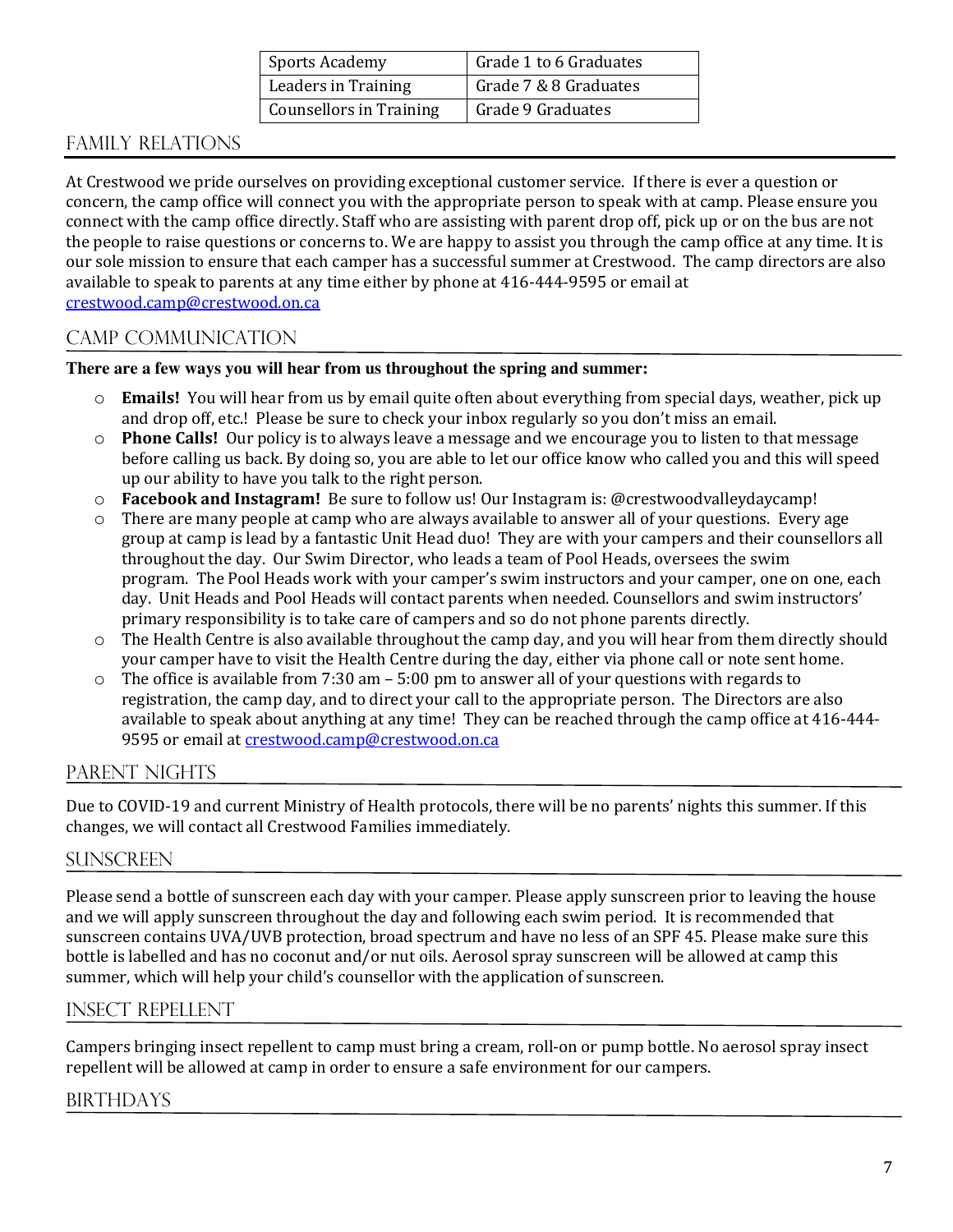| <b>Sports Academy</b>          | Grade 1 to 6 Graduates |
|--------------------------------|------------------------|
| Leaders in Training            | Grade 7 & 8 Graduates  |
| <b>Counsellors in Training</b> | Grade 9 Graduates      |

# Family Relations

At Crestwood we pride ourselves on providing exceptional customer service. If there is ever a question or concern, the camp office will connect you with the appropriate person to speak with at camp. Please ensure you connect with the camp office directly. Staff who are assisting with parent drop off, pick up or on the bus are not the people to raise questions or concerns to. We are happy to assist you through the camp office at any time. It is our sole mission to ensure that each camper has a successful summer at Crestwood. The camp directors are also available to speak to parents at any time either by phone at 416-444-9595 or email at crestwood.camp@crestwood.on.ca

### Camp communication

#### **There are a few ways you will hear from us throughout the spring and summer:**

- $\circ$  **Emails!** You will hear from us by email quite often about everything from special days, weather, pick up and drop off, etc.! Please be sure to check your inbox regularly so you don't miss an email.
- $\circ$  **Phone Calls!** Our policy is to always leave a message and we encourage you to listen to that message before calling us back. By doing so, you are able to let our office know who called you and this will speed up our ability to have you talk to the right person.
- $\circ$  **Facebook and Instagram!** Be sure to follow us! Our Instagram is: @crestwoodvalleydaycamp!
- $\circ$  There are many people at camp who are always available to answer all of your questions. Every age group at camp is lead by a fantastic Unit Head duo! They are with your campers and their counsellors all throughout the day. Our Swim Director, who leads a team of Pool Heads, oversees the swim program. The Pool Heads work with your camper's swim instructors and your camper, one on one, each day. Unit Heads and Pool Heads will contact parents when needed. Counsellors and swim instructors' primary responsibility is to take care of campers and so do not phone parents directly.
- $\circ$  The Health Centre is also available throughout the camp day, and you will hear from them directly should your camper have to visit the Health Centre during the day, either via phone call or note sent home.
- $\circ$  The office is available from 7:30 am 5:00 pm to answer all of your questions with regards to registration, the camp day, and to direct your call to the appropriate person. The Directors are also available to speak about anything at any time! They can be reached through the camp office at 416-444-9595 or email at crestwood.camp@crestwood.on.ca

### PARENT NIGHTS

Due to COVID-19 and current Ministry of Health protocols, there will be no parents' nights this summer. If this changes, we will contact all Crestwood Families immediately.

#### **SUNSCREEN**

Please send a bottle of sunscreen each day with your camper. Please apply sunscreen prior to leaving the house and we will apply sunscreen throughout the day and following each swim period. It is recommended that sunscreen contains UVA/UVB protection, broad spectrum and have no less of an SPF 45. Please make sure this bottle is labelled and has no coconut and/or nut oils. Aerosol spray sunscreen will be allowed at camp this summer, which will help your child's counsellor with the application of sunscreen.

#### Insect repellent

Campers bringing insect repellent to camp must bring a cream, roll-on or pump bottle. No aerosol spray insect repellent will be allowed at camp in order to ensure a safe environment for our campers.

#### **BIRTHDAYS**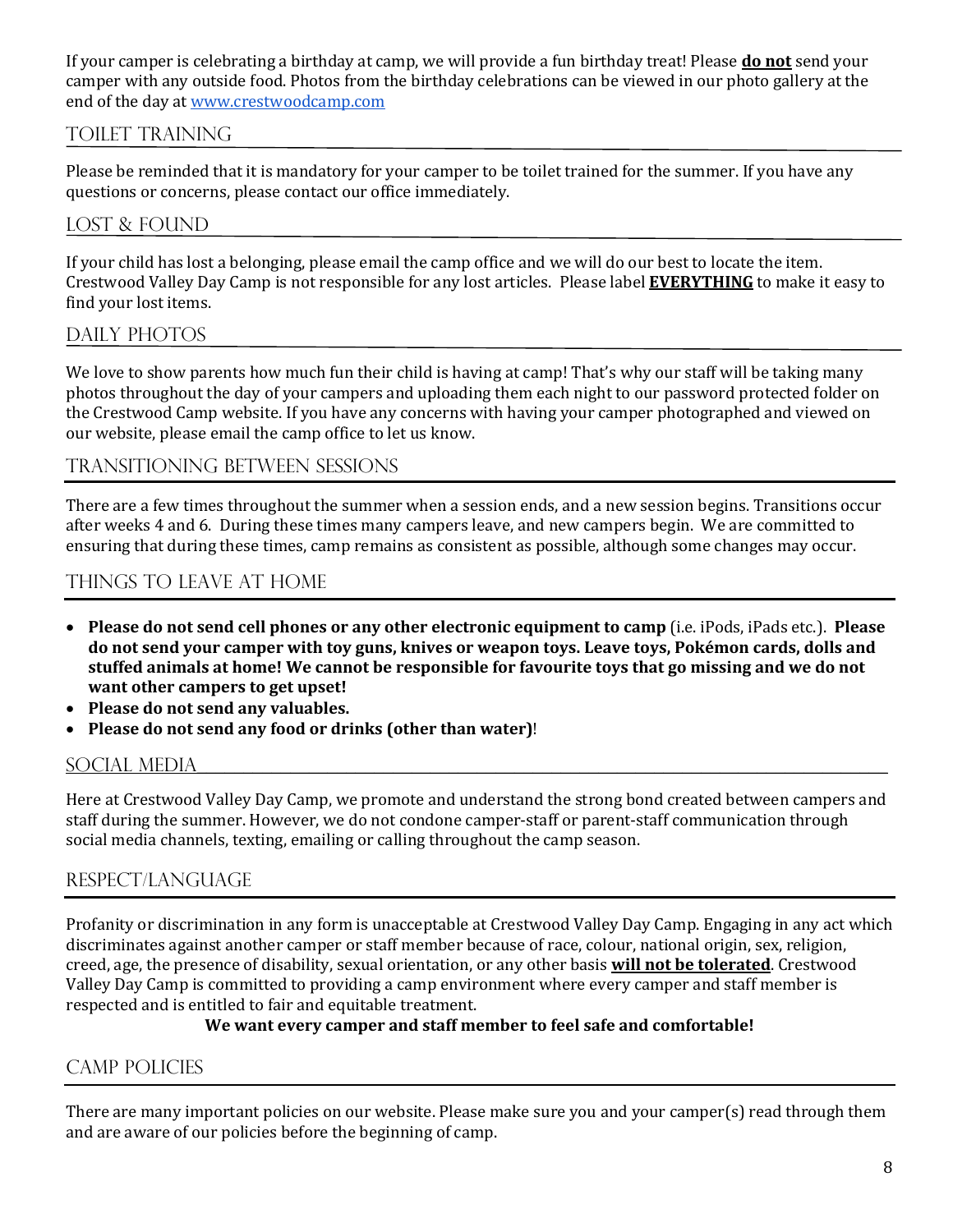If your camper is celebrating a birthday at camp, we will provide a fun birthday treat! Please **do not** send your camper with any outside food. Photos from the birthday celebrations can be viewed in our photo gallery at the end of the day at www.crestwoodcamp.com

### Toilet training

Please be reminded that it is mandatory for your camper to be toilet trained for the summer. If you have any questions or concerns, please contact our office immediately.

### LOST & FOUND

If your child has lost a belonging, please email the camp office and we will do our best to locate the item. Crestwood Valley Day Camp is not responsible for any lost articles. Please label **EVERYTHING** to make it easy to find your lost items.

### DAILY PHOTOS

We love to show parents how much fun their child is having at camp! That's why our staff will be taking many photos throughout the day of your campers and uploading them each night to our password protected folder on the Crestwood Camp website. If you have any concerns with having your camper photographed and viewed on our website, please email the camp office to let us know.

#### Transitioning between sessions

There are a few times throughout the summer when a session ends, and a new session begins. Transitions occur after weeks 4 and 6. During these times many campers leave, and new campers begin. We are committed to ensuring that during these times, camp remains as consistent as possible, although some changes may occur.

### Things to leave at home

- **Please do not send cell phones or any other electronic equipment to camp** (i.e. iPods, iPads etc.). **Please** do not send your camper with toy guns, knives or weapon toys. Leave toys, Pokémon cards, dolls and stuffed animals at home! We cannot be responsible for favourite toys that go missing and we do not want other campers to get upset!
- Please do not send any valuables.
- Please do not send any food or drinks (other than water)!

### SOCIAL MEDIA

Here at Crestwood Valley Day Camp, we promote and understand the strong bond created between campers and staff during the summer. However, we do not condone camper-staff or parent-staff communication through social media channels, texting, emailing or calling throughout the camp season.

#### Respect/language

Profanity or discrimination in any form is unacceptable at Crestwood Valley Day Camp. Engaging in any act which discriminates against another camper or staff member because of race, colour, national origin, sex, religion, creed, age, the presence of disability, sexual orientation, or any other basis **will not be tolerated**. Crestwood Valley Day Camp is committed to providing a camp environment where every camper and staff member is respected and is entitled to fair and equitable treatment.

#### We want every camper and staff member to feel safe and comfortable!

### Camp Policies

There are many important policies on our website. Please make sure you and your camper(s) read through them and are aware of our policies before the beginning of camp.